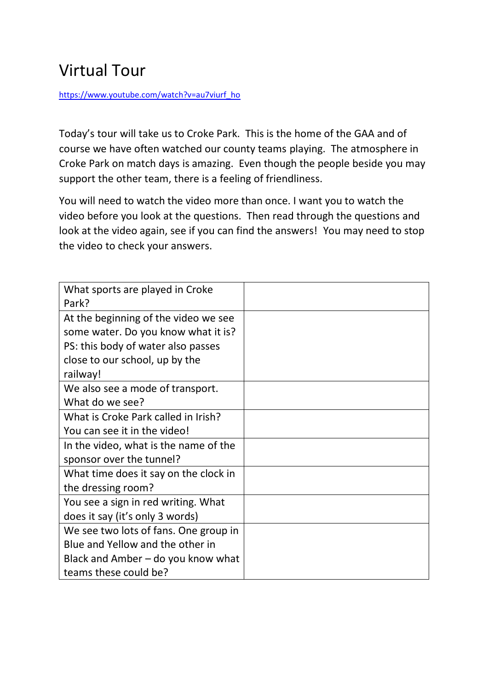## Virtual Tour

[https://www.youtube.com/watch?v=au7viurf\\_ho](https://www.youtube.com/watch?v=au7viurf_ho)

Today's tour will take us to Croke Park. This is the home of the GAA and of course we have often watched our county teams playing. The atmosphere in Croke Park on match days is amazing. Even though the people beside you may support the other team, there is a feeling of friendliness.

You will need to watch the video more than once. I want you to watch the video before you look at the questions. Then read through the questions and look at the video again, see if you can find the answers! You may need to stop the video to check your answers.

| What sports are played in Croke<br>Park?   |  |
|--------------------------------------------|--|
| At the beginning of the video we see       |  |
| some water. Do you know what it is?        |  |
| PS: this body of water also passes         |  |
| close to our school, up by the<br>railway! |  |
| We also see a mode of transport.           |  |
| What do we see?                            |  |
| What is Croke Park called in Irish?        |  |
| You can see it in the video!               |  |
| In the video, what is the name of the      |  |
| sponsor over the tunnel?                   |  |
| What time does it say on the clock in      |  |
| the dressing room?                         |  |
| You see a sign in red writing. What        |  |
| does it say (it's only 3 words)            |  |
| We see two lots of fans. One group in      |  |
| Blue and Yellow and the other in           |  |
| Black and Amber $-$ do you know what       |  |
| teams these could be?                      |  |